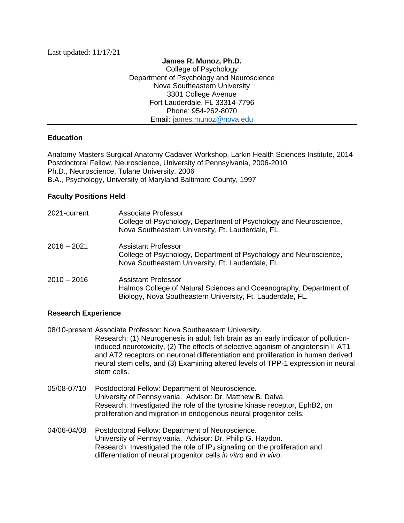**James R. Munoz, Ph.D.** College of Psychology Department of Psychology and Neuroscience Nova Southeastern University 3301 College Avenue Fort Lauderdale, FL 33314-7796 Phone: 954-262-8070 Email: [james.munoz@nova.edu](mailto:james.munoz@nova.edu)

## **Education**

Anatomy Masters Surgical Anatomy Cadaver Workshop, Larkin Health Sciences Institute, 2014 Postdoctoral Fellow, Neuroscience, University of Pennsylvania, 2006-2010 Ph.D., Neuroscience, Tulane University, 2006 B.A., Psychology, University of Maryland Baltimore County, 1997

## **Faculty Positions Held**

| 2021-current  | Associate Professor<br>College of Psychology, Department of Psychology and Neuroscience,<br>Nova Southeastern University, Ft. Lauderdale, FL.                  |
|---------------|----------------------------------------------------------------------------------------------------------------------------------------------------------------|
| $2016 - 2021$ | Assistant Professor<br>College of Psychology, Department of Psychology and Neuroscience,<br>Nova Southeastern University, Ft. Lauderdale, FL.                  |
| $2010 - 2016$ | <b>Assistant Professor</b><br>Halmos College of Natural Sciences and Oceanography, Department of<br>Biology, Nova Southeastern University, Ft. Lauderdale, FL. |

## **Research Experience**

stem cells.

08/10-present Associate Professor: Nova Southeastern University. Research: (1) Neurogenesis in adult fish brain as an early indicator of pollutioninduced neurotoxicity, (2) The effects of selective agonism of angiotensin II AT1 and AT2 receptors on neuronal differentiation and proliferation in human derived neural stem cells, and (3) Examining altered levels of TPP-1 expression in neural

- 05/08-07/10 Postdoctoral Fellow: Department of Neuroscience. University of Pennsylvania. Advisor: Dr. Matthew B. Dalva. Research: Investigated the role of the tyrosine kinase receptor, EphB2, on proliferation and migration in endogenous neural progenitor cells.
- 04/06-04/08 Postdoctoral Fellow: Department of Neuroscience. University of Pennsylvania. Advisor: Dr. Philip G. Haydon. Research: Investigated the role of  $IP_3$  signaling on the proliferation and differentiation of neural progenitor cells *in vitro* and *in vivo*.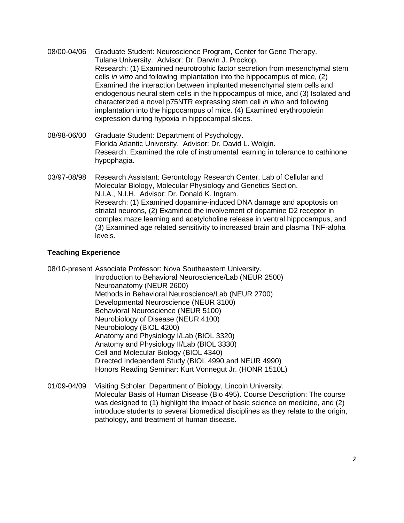- 08/00-04/06 Graduate Student: Neuroscience Program, Center for Gene Therapy. Tulane University. Advisor: Dr. Darwin J. Prockop. Research: (1) Examined neurotrophic factor secretion from mesenchymal stem cells *in vitro* and following implantation into the hippocampus of mice, (2) Examined the interaction between implanted mesenchymal stem cells and endogenous neural stem cells in the hippocampus of mice, and (3) Isolated and characterized a novel p75NTR expressing stem cell *in vitro* and following implantation into the hippocampus of mice. (4) Examined erythropoietin expression during hypoxia in hippocampal slices.
- 08/98-06/00 Graduate Student: Department of Psychology. Florida Atlantic University. Advisor: Dr. David L. Wolgin. Research: Examined the role of instrumental learning in tolerance to cathinone hypophagia.
- 03/97-08/98 Research Assistant: Gerontology Research Center, Lab of Cellular and Molecular Biology, Molecular Physiology and Genetics Section. N.I.A., N.I.H. Advisor: Dr. Donald K. Ingram. Research: (1) Examined dopamine-induced DNA damage and apoptosis on striatal neurons, (2) Examined the involvement of dopamine D2 receptor in complex maze learning and acetylcholine release in ventral hippocampus, and (3) Examined age related sensitivity to increased brain and plasma TNF-alpha levels.

## **Teaching Experience**

08/10-present Associate Professor: Nova Southeastern University. Introduction to Behavioral Neuroscience/Lab (NEUR 2500) Neuroanatomy (NEUR 2600) Methods in Behavioral Neuroscience/Lab (NEUR 2700) Developmental Neuroscience (NEUR 3100) Behavioral Neuroscience (NEUR 5100) Neurobiology of Disease (NEUR 4100) Neurobiology (BIOL 4200) Anatomy and Physiology I/Lab (BIOL 3320) Anatomy and Physiology II/Lab (BIOL 3330) Cell and Molecular Biology (BIOL 4340) Directed Independent Study (BIOL 4990 and NEUR 4990) Honors Reading Seminar: Kurt Vonnegut Jr. (HONR 1510L)

01/09-04/09 Visiting Scholar: Department of Biology, Lincoln University. Molecular Basis of Human Disease (Bio 495). Course Description: The course was designed to (1) highlight the impact of basic science on medicine, and (2) introduce students to several biomedical disciplines as they relate to the origin, pathology, and treatment of human disease.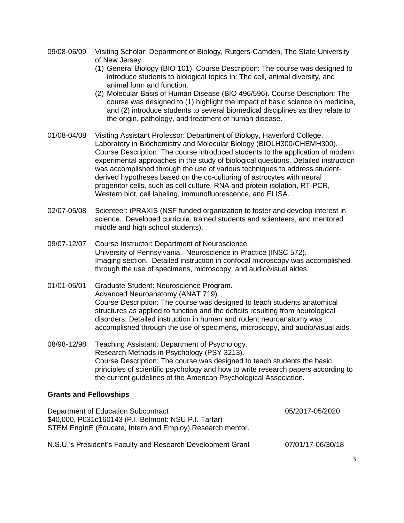- 09/08-05/09 Visiting Scholar: Department of Biology, Rutgers-Camden, The State University of New Jersey.
	- (1) General Biology (BIO 101). Course Description: The course was designed to introduce students to biological topics in: The cell, animal diversity, and animal form and function.
	- (2) Molecular Basis of Human Disease (BIO 496/596). Course Description: The course was designed to (1) highlight the impact of basic science on medicine, and (2) introduce students to several biomedical disciplines as they relate to the origin, pathology, and treatment of human disease.
- 01/08-04/08 Visiting Assistant Professor: Department of Biology, Haverford College. Laboratory in Biochemistry and Molecular Biology (BIOLH300/CHEMH300). Course Description: The course introduced students to the application of modern experimental approaches in the study of biological questions. Detailed instruction was accomplished through the use of various techniques to address studentderived hypotheses based on the co-culturing of astrocytes with neural progenitor cells, such as cell culture, RNA and protein isolation, RT-PCR, Western blot, cell labeling, immunofluorescence, and ELISA.
- 02/07-05/08 Scienteer: iPRAXIS (NSF funded organization to foster and develop interest in science. Developed curricula, trained students and scienteers, and mentored middle and high school students).
- 09/07-12/07 Course Instructor: Department of Neuroscience. University of Pennsylvania. Neuroscience in Practice (INSC 572). Imaging section. Detailed instruction in confocal microscopy was accomplished through the use of specimens, microscopy, and audio/visual aides.
- 01/01-05/01 Graduate Student: Neuroscience Program. Advanced Neuroanatomy (ANAT 719). Course Description: The course was designed to teach students anatomical structures as applied to function and the deficits resulting from neurological disorders. Detailed instruction in human and rodent neuroanatomy was accomplished through the use of specimens, microscopy, and audio/visual aids.
- 08/98-12/98 Teaching Assistant: Department of Psychology. Research Methods in Psychology (PSY 3213). Course Description: The course was designed to teach students the basic principles of scientific psychology and how to write research papers according to the current guidelines of the American Psychological Association.

## **Grants and Fellowships**

| Department of Education Subcontract<br>\$40,000, P031c160143 (P.I. Belmont: NSU P.I. Tartar)<br>STEM EnginE (Educate, Intern and Employ) Research mentor. | 05/2017-05/2020   |
|-----------------------------------------------------------------------------------------------------------------------------------------------------------|-------------------|
| N.S.U.'s President's Faculty and Research Development Grant                                                                                               | 07/01/17-06/30/18 |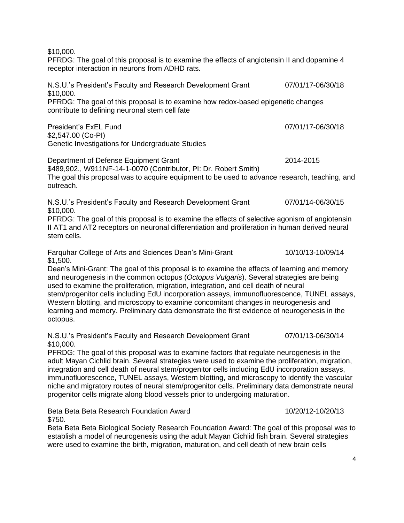\$10,000.

PFRDG: The goal of this proposal is to examine the effects of angiotensin II and dopamine 4 receptor interaction in neurons from ADHD rats.

N.S.U.'s President's Faculty and Research Development Grant 07/01/17-06/30/18 \$10,000. PFRDG: The goal of this proposal is to examine how redox-based epigenetic changes contribute to defining neuronal stem cell fate President's ExEL Fund 07/01/17-06/30/18 \$2,547.00 (Co-PI) Genetic Investigations for Undergraduate Studies Department of Defense Equipment Grant 2014-2015 \$489,902., W911NF-14-1-0070 (Contributor, PI: Dr. Robert Smith) The goal this proposal was to acquire equipment to be used to advance research, teaching, and outreach. N.S.U.'s President's Faculty and Research Development Grant 07/01/14-06/30/15 \$10,000. PFRDG: The goal of this proposal is to examine the effects of selective agonism of angiotensin II AT1 and AT2 receptors on neuronal differentiation and proliferation in human derived neural stem cells. Farquhar College of Arts and Sciences Dean's Mini-Grant 10/10/13-10/09/14 \$1,500. Dean's Mini-Grant: The goal of this proposal is to examine the effects of learning and memory and neurogenesis in the common octopus (*Octopus Vulgaris*). Several strategies are being used to examine the proliferation, migration, integration, and cell death of neural stem/progenitor cells including EdU incorporation assays, immunofluorescence, TUNEL assays, Western blotting, and microscopy to examine concomitant changes in neurogenesis and learning and memory. Preliminary data demonstrate the first evidence of neurogenesis in the octopus. N.S.U.'s President's Faculty and Research Development Grant 07/01/13-06/30/14 \$10,000. PFRDG: The goal of this proposal was to examine factors that regulate neurogenesis in the adult Mayan Cichlid brain. Several strategies were used to examine the proliferation, migration, integration and cell death of neural stem/progenitor cells including EdU incorporation assays, immunofluorescence, TUNEL assays, Western blotting, and microscopy to identify the vascular niche and migratory routes of neural stem/progenitor cells. Preliminary data demonstrate neural

Beta Beta Beta Research Foundation Award 10/20/12-10/20/13 \$750.

progenitor cells migrate along blood vessels prior to undergoing maturation.

Beta Beta Beta Biological Society Research Foundation Award: The goal of this proposal was to establish a model of neurogenesis using the adult Mayan Cichlid fish brain. Several strategies were used to examine the birth, migration, maturation, and cell death of new brain cells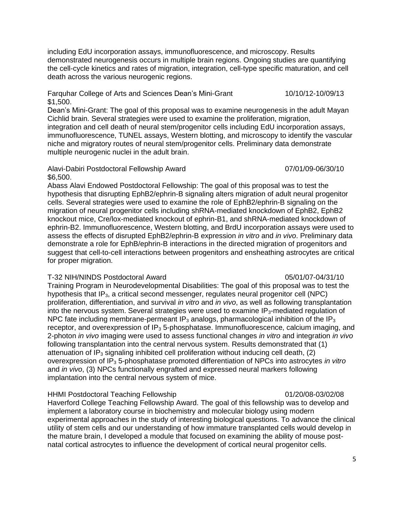including EdU incorporation assays, immunofluorescence, and microscopy. Results demonstrated neurogenesis occurs in multiple brain regions. Ongoing studies are quantifying the cell-cycle kinetics and rates of migration, integration, cell-type specific maturation, and cell death across the various neurogenic regions.

Farquhar College of Arts and Sciences Dean's Mini-Grant 10/10/12-10/09/13 \$1,500.

Dean's Mini-Grant: The goal of this proposal was to examine neurogenesis in the adult Mayan Cichlid brain. Several strategies were used to examine the proliferation, migration, integration and cell death of neural stem/progenitor cells including EdU incorporation assays, immunofluorescence, TUNEL assays, Western blotting, and microscopy to identify the vascular niche and migratory routes of neural stem/progenitor cells. Preliminary data demonstrate multiple neurogenic nuclei in the adult brain.

#### Alavi-Dabiri Postdoctoral Fellowship Award 07/01/09-06/30/10 \$6,500.

Abass Alavi Endowed Postdoctoral Fellowship: The goal of this proposal was to test the hypothesis that disrupting EphB2/ephrin-B signaling alters migration of adult neural progenitor cells. Several strategies were used to examine the role of EphB2/ephrin-B signaling on the migration of neural progenitor cells including shRNA-mediated knockdown of EphB2, EphB2 knockout mice, Cre/lox-mediated knockout of ephrin-B1, and shRNA-mediated knockdown of ephrin-B2. Immunofluorescence, Western blotting, and BrdU incorporation assays were used to assess the effects of disrupted EphB2/ephrin-B expression *in vitro* and *in vivo*. Preliminary data demonstrate a role for EphB/ephrin-B interactions in the directed migration of progenitors and suggest that cell-to-cell interactions between progenitors and ensheathing astrocytes are critical for proper migration.

#### T-32 NIH/NINDS Postdoctoral Award 05/01/07-04/31/10

#### Training Program in Neurodevelopmental Disabilities: The goal of this proposal was to test the hypothesis that  $IP_3$ , a critical second messenger, regulates neural progenitor cell (NPC) proliferation, differentiation, and survival *in vitro* and *in vivo*, as well as following transplantation into the nervous system. Several strategies were used to examine  $IP_3$ -mediated regulation of NPC fate including membrane-permeant  $IP_3$  analogs, pharmacological inhibition of the IP<sub>3</sub> receptor, and overexpression of IP<sub>3</sub> 5-phosphatase. Immunofluorescence, calcium imaging, and 2-photon *in vivo* imaging were used to assess functional changes *in vitro* and integration *in vivo* following transplantation into the central nervous system. Results demonstrated that (1) attenuation of IP<sub>3</sub> signaling inhibited cell proliferation without inducing cell death,  $(2)$ overexpression of IP<sup>3</sup> 5-phosphatase promoted differentiation of NPCs into astrocytes *in vitro* and *in vivo*, (3) NPCs functionally engrafted and expressed neural markers following implantation into the central nervous system of mice.

#### HHMI Postdoctoral Teaching Fellowship 01/20/08-03/02/08

Haverford College Teaching Fellowship Award. The goal of this fellowship was to develop and implement a laboratory course in biochemistry and molecular biology using modern experimental approaches in the study of interesting biological questions. To advance the clinical utility of stem cells and our understanding of how immature transplanted cells would develop in the mature brain, I developed a module that focused on examining the ability of mouse postnatal cortical astrocytes to influence the development of cortical neural progenitor cells.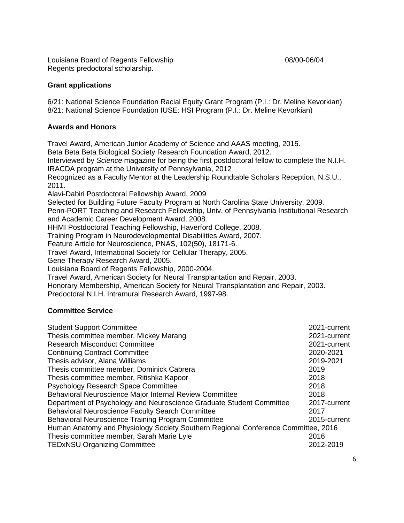Louisiana Board of Regents Fellowship 2000-06/04 Regents predoctoral scholarship.

## **Grant applications**

6/21: National Science Foundation Racial Equity Grant Program (P.I.: Dr. Meline Kevorkian) 8/21: National Science Foundation IUSE: HSI Program (P.I.: Dr. Meline Kevorkian)

## **Awards and Honors**

Travel Award, American Junior Academy of Science and AAAS meeting, 2015. Beta Beta Beta Biological Society Research Foundation Award, 2012. Interviewed by *Science* magazine for being the first postdoctoral fellow to complete the N.I.H. IRACDA program at the University of Pennsylvania, 2012 Recognized as a Faculty Mentor at the Leadership Roundtable Scholars Reception, N.S.U., 2011. Alavi-Dabiri Postdoctoral Fellowship Award, 2009 Selected for Building Future Faculty Program at North Carolina State University, 2009. Penn-PORT Teaching and Research Fellowship, Univ. of Pennsylvania Institutional Research and Academic Career Development Award, 2008. HHMI Postdoctoral Teaching Fellowship, Haverford College, 2008. Training Program in Neurodevelopmental Disabilities Award, 2007. Feature Article for Neuroscience, PNAS, 102(50), 18171-6. Travel Award, International Society for Cellular Therapy, 2005. Gene Therapy Research Award, 2005. Louisiana Board of Regents Fellowship, 2000-2004. Travel Award, American Society for Neural Transplantation and Repair, 2003. Honorary Membership, American Society for Neural Transplantation and Repair, 2003.

Predoctoral N.I.H. Intramural Research Award, 1997-98.

# **Committee Service**

| 2021-current                                                                      |
|-----------------------------------------------------------------------------------|
| 2021-current                                                                      |
| 2021-current                                                                      |
| 2020-2021                                                                         |
| 2019-2021                                                                         |
| 2019                                                                              |
| 2018                                                                              |
| 2018                                                                              |
| 2018                                                                              |
| 2017-current                                                                      |
| 2017                                                                              |
| 2015-current                                                                      |
| Human Anatomy and Physiology Society Southern Regional Conference Committee, 2016 |
| 2016                                                                              |
| 2012-2019                                                                         |
|                                                                                   |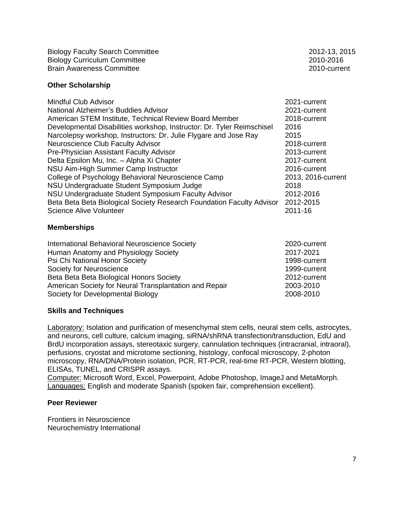Biology Faculty Search Committee 2012-13, 2015 Biology Curriculum Committee 2010-2016 Brain Awareness Committee 2010-current

**Other Scholarship**

| <b>Mindful Club Advisor</b>                                            | 2021-current       |
|------------------------------------------------------------------------|--------------------|
| National Alzheimer's Buddies Advisor                                   | 2021-current       |
| American STEM Institute, Technical Review Board Member                 | 2018-current       |
| Developmental Disabilities workshop, Instructor: Dr. Tyler Reimschisel | 2016               |
| Narcolepsy workshop, Instructors: Dr. Julie Flygare and Jose Ray       | 2015               |
| Neuroscience Club Faculty Advisor                                      | 2018-current       |
| Pre-Physician Assistant Faculty Advisor                                | 2013-current       |
| Delta Epsilon Mu, Inc. - Alpha Xi Chapter                              | 2017-current       |
| NSU Aim-High Summer Camp Instructor                                    | 2016-current       |
| College of Psychology Behavioral Neuroscience Camp                     | 2013, 2016-current |
| NSU Undergraduate Student Symposium Judge                              | 2018               |
| NSU Undergraduate Student Symposium Faculty Advisor                    | 2012-2016          |
| Beta Beta Beta Biological Society Research Foundation Faculty Advisor  | 2012-2015          |
| <b>Science Alive Volunteer</b>                                         | 2011-16            |
|                                                                        |                    |

## **Memberships**

| International Behavioral Neuroscience Society          | 2020-current |
|--------------------------------------------------------|--------------|
| Human Anatomy and Physiology Society                   | 2017-2021    |
| Psi Chi National Honor Society                         | 1998-current |
| Society for Neuroscience                               | 1999-current |
| Beta Beta Beta Biological Honors Society               | 2012-current |
| American Society for Neural Transplantation and Repair | 2003-2010    |
| Society for Developmental Biology                      | 2008-2010    |

## **Skills and Techniques**

Laboratory: Isolation and purification of mesenchymal stem cells, neural stem cells, astrocytes, and neurons, cell culture, calcium imaging, siRNA/shRNA transfection/transduction, EdU and BrdU incorporation assays, stereotaxic surgery, cannulation techniques (intracranial, intraoral), perfusions, cryostat and microtome sectioning, histology, confocal microscopy, 2-photon microscopy, RNA/DNA/Protein isolation, PCR, RT-PCR, real-time RT-PCR, Western blotting, ELISAs, TUNEL, and CRISPR assays.

Computer: Microsoft Word, Excel, Powerpoint, Adobe Photoshop, ImageJ and MetaMorph. Languages: English and moderate Spanish (spoken fair, comprehension excellent).

## **Peer Reviewer**

Frontiers in Neuroscience Neurochemistry International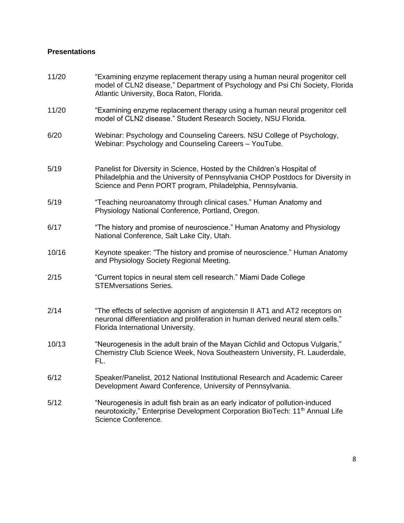# **Presentations**

| 11/20 | "Examining enzyme replacement therapy using a human neural progenitor cell<br>model of CLN2 disease," Department of Psychology and Psi Chi Society, Florida<br>Atlantic University, Boca Raton, Florida.                |
|-------|-------------------------------------------------------------------------------------------------------------------------------------------------------------------------------------------------------------------------|
| 11/20 | "Examining enzyme replacement therapy using a human neural progenitor cell<br>model of CLN2 disease." Student Research Society, NSU Florida.                                                                            |
| 6/20  | Webinar: Psychology and Counseling Careers. NSU College of Psychology,<br>Webinar: Psychology and Counseling Careers - YouTube.                                                                                         |
| 5/19  | Panelist for Diversity in Science, Hosted by the Children's Hospital of<br>Philadelphia and the University of Pennsylvania CHOP Postdocs for Diversity in<br>Science and Penn PORT program, Philadelphia, Pennsylvania. |
| 5/19  | "Teaching neuroanatomy through clinical cases." Human Anatomy and<br>Physiology National Conference, Portland, Oregon.                                                                                                  |
| 6/17  | "The history and promise of neuroscience." Human Anatomy and Physiology<br>National Conference, Salt Lake City, Utah.                                                                                                   |
| 10/16 | Keynote speaker: "The history and promise of neuroscience." Human Anatomy<br>and Physiology Society Regional Meeting.                                                                                                   |
| 2/15  | "Current topics in neural stem cell research." Miami Dade College<br><b>STEMversations Series.</b>                                                                                                                      |
| 2/14  | "The effects of selective agonism of angiotensin II AT1 and AT2 receptors on<br>neuronal differentiation and proliferation in human derived neural stem cells."<br>Florida International University.                    |
| 10/13 | "Neurogenesis in the adult brain of the Mayan Cichlid and Octopus Vulgaris,"<br>Chemistry Club Science Week, Nova Southeastern University, Ft. Lauderdale,<br>FL.                                                       |
| 6/12  | Speaker/Panelist, 2012 National Institutional Research and Academic Career<br>Development Award Conference, University of Pennsylvania.                                                                                 |
| 5/12  | "Neurogenesis in adult fish brain as an early indicator of pollution-induced<br>neurotoxicity," Enterprise Development Corporation BioTech: 11 <sup>th</sup> Annual Life<br>Science Conference.                         |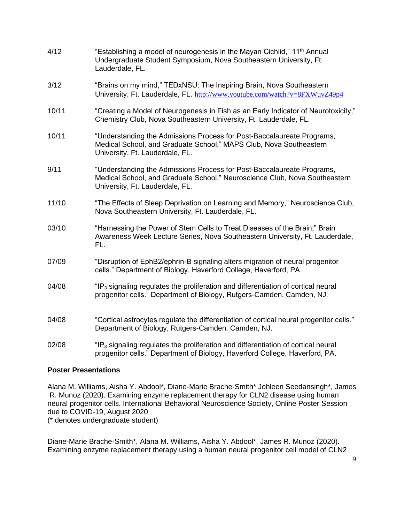| 4/12  | "Establishing a model of neurogenesis in the Mayan Cichlid," 11 <sup>th</sup> Annual<br>Undergraduate Student Symposium, Nova Southeastern University, Ft.<br>Lauderdale, FL.           |
|-------|-----------------------------------------------------------------------------------------------------------------------------------------------------------------------------------------|
| 3/12  | "Brains on my mind," TEDxNSU: The Inspiring Brain, Nova Southeastern<br>University, Ft. Lauderdale, FL. http://www.youtube.com/watch?v=8FXWuvZ49p4                                      |
| 10/11 | "Creating a Model of Neurogenesis in Fish as an Early Indicator of Neurotoxicity,"<br>Chemistry Club, Nova Southeastern University, Ft. Lauderdale, FL.                                 |
| 10/11 | "Understanding the Admissions Process for Post-Baccalaureate Programs,<br>Medical School, and Graduate School," MAPS Club, Nova Southeastern<br>University, Ft. Lauderdale, FL.         |
| 9/11  | "Understanding the Admissions Process for Post-Baccalaureate Programs,<br>Medical School, and Graduate School," Neuroscience Club, Nova Southeastern<br>University, Ft. Lauderdale, FL. |
| 11/10 | "The Effects of Sleep Deprivation on Learning and Memory," Neuroscience Club,<br>Nova Southeastern University, Ft. Lauderdale, FL.                                                      |
| 03/10 | "Harnessing the Power of Stem Cells to Treat Diseases of the Brain," Brain<br>Awareness Week Lecture Series, Nova Southeastern University, Ft. Lauderdale,<br>FL.                       |
| 07/09 | "Disruption of EphB2/ephrin-B signaling alters migration of neural progenitor<br>cells." Department of Biology, Haverford College, Haverford, PA.                                       |
| 04/08 | "IP <sub>3</sub> signaling regulates the proliferation and differentiation of cortical neural<br>progenitor cells." Department of Biology, Rutgers-Camden, Camden, NJ.                  |
| 04/08 | "Cortical astrocytes regulate the differentiation of cortical neural progenitor cells."<br>Department of Biology, Rutgers-Camden, Camden, NJ.                                           |
| 02/08 | "IP <sub>3</sub> signaling regulates the proliferation and differentiation of cortical neural<br>progenitor cells." Department of Biology, Haverford College, Haverford, PA.            |

## **Poster Presentations**

Alana M. Williams, Aisha Y. Abdool\*, Diane-Marie Brache-Smith\* Johleen Seedansingh\*, James R. Munoz (2020). Examining enzyme replacement therapy for CLN2 disease using human neural progenitor cells, International Behavioral Neuroscience Society, Online Poster Session due to COVID-19, August 2020 (\* denotes undergraduate student)

Diane-Marie Brache-Smith\*, Alana M. Williams, Aisha Y. Abdool\*, James R. Munoz (2020). Examining enzyme replacement therapy using a human neural progenitor cell model of CLN2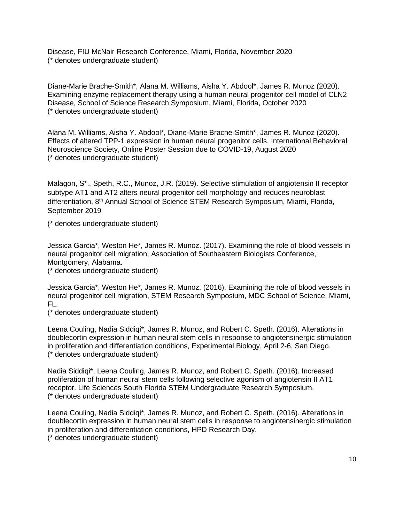Disease, FIU McNair Research Conference, Miami, Florida, November 2020 (\* denotes undergraduate student)

Diane-Marie Brache-Smith\*, Alana M. Williams, Aisha Y. Abdool\*, James R. Munoz (2020). Examining enzyme replacement therapy using a human neural progenitor cell model of CLN2 Disease, School of Science Research Symposium, Miami, Florida, October 2020 (\* denotes undergraduate student)

Alana M. Williams, Aisha Y. Abdool\*, Diane-Marie Brache-Smith\*, James R. Munoz (2020). Effects of altered TPP-1 expression in human neural progenitor cells, International Behavioral Neuroscience Society, Online Poster Session due to COVID-19, August 2020 (\* denotes undergraduate student)

Malagon, S\*., Speth, R.C., Munoz, J.R. (2019). Selective stimulation of angiotensin II receptor subtype AT1 and AT2 alters neural progenitor cell morphology and reduces neuroblast differentiation, 8<sup>th</sup> Annual School of Science STEM Research Symposium, Miami, Florida, September 2019

(\* denotes undergraduate student)

Jessica Garcia\*, Weston He\*, James R. Munoz. (2017). Examining the role of blood vessels in neural progenitor cell migration, Association of Southeastern Biologists Conference, Montgomery, Alabama.

(\* denotes undergraduate student)

Jessica Garcia\*, Weston He\*, James R. Munoz. (2016). Examining the role of blood vessels in neural progenitor cell migration, STEM Research Symposium, MDC School of Science, Miami, FL.

(\* denotes undergraduate student)

Leena Couling, Nadia Siddiqi\*, James R. Munoz, and Robert C. Speth. (2016). Alterations in doublecortin expression in human neural stem cells in response to angiotensinergic stimulation in proliferation and differentiation conditions, Experimental Biology, April 2-6, San Diego. (\* denotes undergraduate student)

Nadia Siddiqi\*, Leena Couling, James R. Munoz, and Robert C. Speth. (2016). Increased proliferation of human neural stem cells following selective agonism of angiotensin II AT1 receptor. Life Sciences South Florida STEM Undergraduate Research Symposium. (\* denotes undergraduate student)

Leena Couling, Nadia Siddiqi\*, James R. Munoz, and Robert C. Speth. (2016). Alterations in doublecortin expression in human neural stem cells in response to angiotensinergic stimulation in proliferation and differentiation conditions, HPD Research Day.

(\* denotes undergraduate student)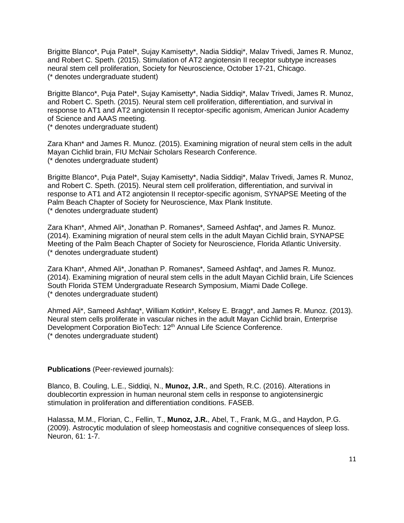Brigitte Blanco\*, Puja Patel\*, Sujay Kamisetty\*, Nadia Siddiqi\*, Malav Trivedi, James R. Munoz, and Robert C. Speth. (2015). Stimulation of AT2 angiotensin II receptor subtype increases neural stem cell proliferation, Society for Neuroscience, October 17-21, Chicago. (\* denotes undergraduate student)

Brigitte Blanco\*, Puja Patel\*, Sujay Kamisetty\*, Nadia Siddiqi\*, Malav Trivedi, James R. Munoz, and Robert C. Speth. (2015). Neural stem cell proliferation, differentiation, and survival in response to AT1 and AT2 angiotensin II receptor-specific agonism, American Junior Academy of Science and AAAS meeting.

(\* denotes undergraduate student)

Zara Khan\* and James R. Munoz. (2015). Examining migration of neural stem cells in the adult Mayan Cichlid brain, FIU McNair Scholars Research Conference. (\* denotes undergraduate student)

Brigitte Blanco\*, Puja Patel\*, Sujay Kamisetty\*, Nadia Siddiqi\*, Malav Trivedi, James R. Munoz, and Robert C. Speth. (2015). Neural stem cell proliferation, differentiation, and survival in response to AT1 and AT2 angiotensin II receptor-specific agonism, SYNAPSE Meeting of the Palm Beach Chapter of Society for Neuroscience, Max Plank Institute. (\* denotes undergraduate student)

Zara Khan\*, Ahmed Ali\*, Jonathan P. Romanes\*, Sameed Ashfaq\*, and James R. Munoz. (2014). Examining migration of neural stem cells in the adult Mayan Cichlid brain, SYNAPSE Meeting of the Palm Beach Chapter of Society for Neuroscience, Florida Atlantic University. (\* denotes undergraduate student)

Zara Khan\*, Ahmed Ali\*, Jonathan P. Romanes\*, Sameed Ashfaq\*, and James R. Munoz. (2014). Examining migration of neural stem cells in the adult Mayan Cichlid brain, Life Sciences South Florida STEM Undergraduate Research Symposium, Miami Dade College. (\* denotes undergraduate student)

Ahmed Ali\*, Sameed Ashfaq\*, William Kotkin\*, Kelsey E. Bragg\*, and James R. Munoz. (2013). Neural stem cells proliferate in vascular niches in the adult Mayan Cichlid brain, Enterprise Development Corporation BioTech: 12<sup>th</sup> Annual Life Science Conference. (\* denotes undergraduate student)

**Publications** (Peer-reviewed journals):

Blanco, B. Couling, L.E., Siddiqi, N., **Munoz, J.R.**, and Speth, R.C. (2016). Alterations in doublecortin expression in human neuronal stem cells in response to angiotensinergic stimulation in proliferation and differentiation conditions. FASEB.

Halassa, M.M., Florian, C., Fellin, T., **Munoz, J.R.**, Abel, T., Frank, M.G., and Haydon, P.G. (2009). Astrocytic modulation of sleep homeostasis and cognitive consequences of sleep loss. Neuron, 61: 1-7.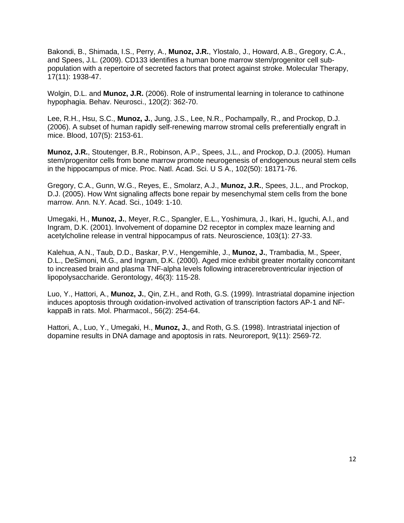Bakondi, B., Shimada, I.S., Perry, A., **Munoz, J.R.**, Ylostalo, J., Howard, A.B., Gregory, C.A., and Spees, J.L. (2009). CD133 identifies a human bone marrow stem/progenitor cell subpopulation with a repertoire of secreted factors that protect against stroke. Molecular Therapy, 17(11): 1938-47.

Wolgin, D.L. and **Munoz, J.R.** (2006). Role of instrumental learning in tolerance to cathinone hypophagia. Behav. Neurosci., 120(2): 362-70.

Lee, R.H., Hsu, S.C., **Munoz, J.**, Jung, J.S., Lee, N.R., Pochampally, R., and Prockop, D.J. (2006). A subset of human rapidly self-renewing marrow stromal cells preferentially engraft in mice. Blood, 107(5): 2153-61.

**Munoz, J.R.**, Stoutenger, B.R., Robinson, A.P., Spees, J.L., and Prockop, D.J. (2005). Human stem/progenitor cells from bone marrow promote neurogenesis of endogenous neural stem cells in the hippocampus of mice. Proc. Natl. Acad. Sci. U S A., 102(50): 18171-76.

Gregory, C.A., Gunn, W.G., Reyes, E., Smolarz, A.J., **Munoz, J.R.**, Spees, J.L., and Prockop, D.J. (2005). How Wnt signaling affects bone repair by mesenchymal stem cells from the bone marrow. Ann. N.Y. Acad. Sci., 1049: 1-10.

Umegaki, H., **Munoz, J.**, Meyer, R.C., Spangler, E.L., Yoshimura, J., Ikari, H., Iguchi, A.l., and Ingram, D.K. (2001). Involvement of dopamine D2 receptor in complex maze learning and acetylcholine release in ventral hippocampus of rats. Neuroscience, 103(1): 27-33.

Kalehua, A.N., Taub, D.D., Baskar, P.V., Hengemihle, J., **Munoz, J.**, Trambadia, M., Speer, D.L., DeSimoni, M.G., and Ingram, D.K. (2000). Aged mice exhibit greater mortality concomitant to increased brain and plasma TNF-alpha levels following intracerebroventricular injection of lipopolysaccharide. Gerontology, 46(3): 115-28.

Luo, Y., Hattori, A., **Munoz, J.**, Qin, Z.H., and Roth, G.S. (1999). Intrastriatal dopamine injection induces apoptosis through oxidation-involved activation of transcription factors AP-1 and NFkappaB in rats. Mol. Pharmacol., 56(2): 254-64.

Hattori, A., Luo, Y., Umegaki, H., **Munoz, J.**, and Roth, G.S. (1998). Intrastriatal injection of dopamine results in DNA damage and apoptosis in rats. Neuroreport, 9(11): 2569-72.